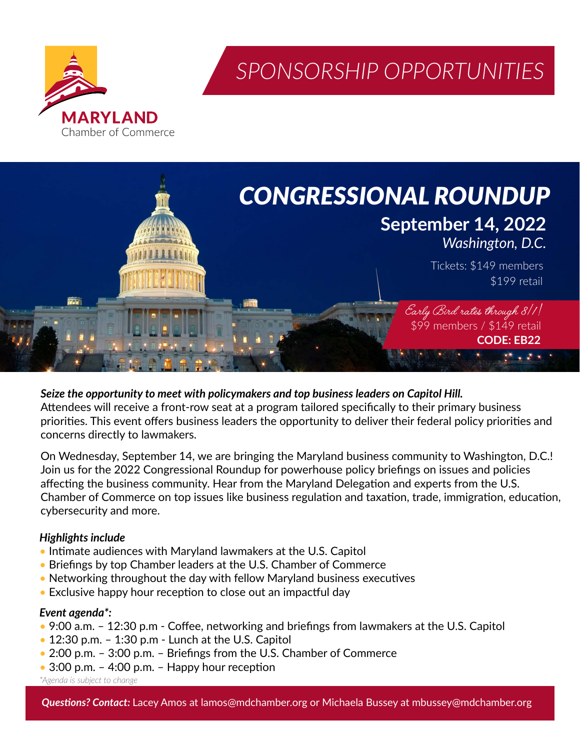

*SPONSORSHIP OPPORTUNITIES*



*Seize the opportunity to meet with policymakers and top business leaders on Capitol Hill.* Attendees will receive a front-row seat at a program tailored specifically to their primary business priorities. This event offers business leaders the opportunity to deliver their federal policy priorities and concerns directly to lawmakers.

On Wednesday, September 14, we are bringing the Maryland business community to Washington, D.C.! Join us for the 2022 Congressional Roundup for powerhouse policy briefings on issues and policies affecting the business community. Hear from the Maryland Delegation and experts from the U.S. Chamber of Commerce on top issues like business regulation and taxation, trade, immigration, education, cybersecurity and more.

#### *Highlights include*

- Intimate audiences with Maryland lawmakers at the U.S. Capitol
- Briefings by top Chamber leaders at the U.S. Chamber of Commerce
- Networking throughout the day with fellow Maryland business executives
- Exclusive happy hour reception to close out an impactful day

#### *Event agenda\*:*

- 9:00 a.m. 12:30 p.m Coffee, networking and briefings from lawmakers at the U.S. Capitol
- 12:30 p.m. 1:30 p.m Lunch at the U.S. Capitol
- 2:00 p.m. 3:00 p.m. Briefings from the U.S. Chamber of Commerce
- 3:00 p.m. 4:00 p.m. Happy hour reception

*\*Agenda is subject to change*

*Questions? Contact:* Lacey Amos at lamos@mdchamber.org or Michaela Bussey at mbussey@mdchamber.org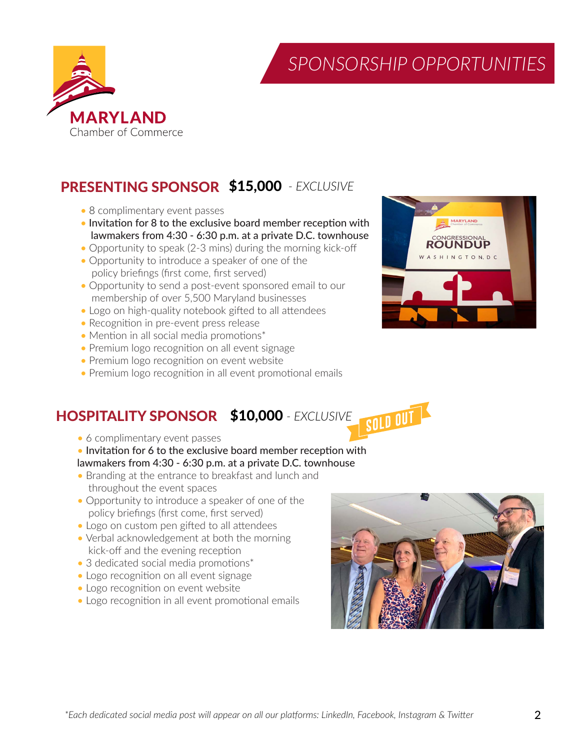

*SPONSORSHIP OPPORTUNITIES*

# PRESENTING SPONSOR \$15,000  *- EXCLUSIVE*

- 8 complimentary event passes
- Invitation for 8 to the exclusive board member reception with lawmakers from 4:30 - 6:30 p.m. at a private D.C. townhouse
- Opportunity to speak (2-3 mins) during the morning kick-off
- Opportunity to introduce a speaker of one of the policy briefings (first come, first served)
- Opportunity to send a post-event sponsored email to our membership of over 5,500 Maryland businesses
- Logo on high-quality notebook gifted to all attendees
- Recognition in pre-event press release
- Mention in all social media promotions\*
- Premium logo recognition on all event signage
- Premium logo recognition on event website
- Premium logo recognition in all event promotional emails

#### HOSPITALITY SPONSOR \$10,000 *- EXCLUSIVE*

- 6 complimentary event passes
- Invitation for 6 to the exclusive board member reception with lawmakers from 4:30 - 6:30 p.m. at a private D.C. townhouse
- Branding at the entrance to breakfast and lunch and throughout the event spaces
- Opportunity to introduce a speaker of one of the policy briefings (first come, first served)
- Logo on custom pen gifted to all attendees
- Verbal acknowledgement at both the morning kick-off and the evening reception
- 3 dedicated social media promotions\*
- Logo recognition on all event signage
- Logo recognition on event website
- Logo recognition in all event promotional emails



SOLD OUT

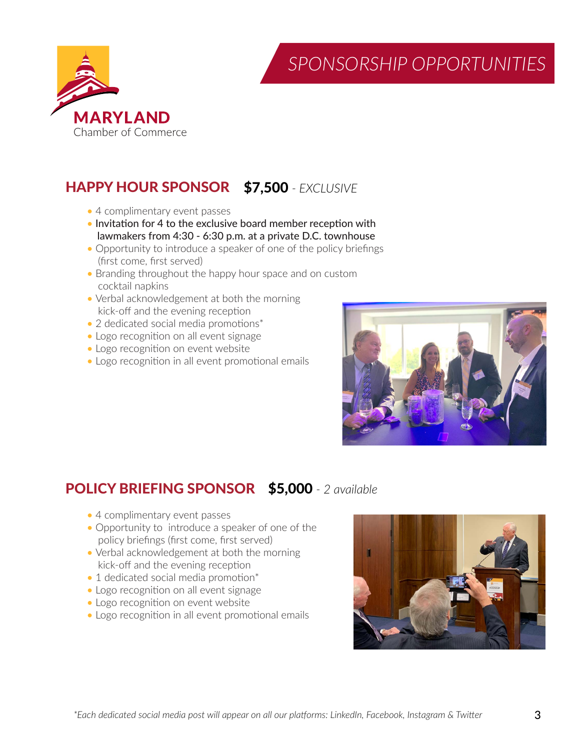



# HAPPY HOUR SPONSOR \$7,500 *- EXCLUSIVE*

- 4 complimentary event passes
- Invitation for 4 to the exclusive board member reception with lawmakers from 4:30 - 6:30 p.m. at a private D.C. townhouse
- Opportunity to introduce a speaker of one of the policy briefings (first come, first served)
- Branding throughout the happy hour space and on custom cocktail napkins
- Verbal acknowledgement at both the morning kick-off and the evening reception
- 2 dedicated social media promotions\*
- Logo recognition on all event signage
- Logo recognition on event website
- Logo recognition in all event promotional emails



### POLICY BRIEFING SPONSOR \$5,000 *- 2 available*

- 4 complimentary event passes
- Opportunity to introduce a speaker of one of the policy briefings (first come, first served)
- Verbal acknowledgement at both the morning kick-off and the evening reception
- 1 dedicated social media promotion\*
- Logo recognition on all event signage
- Logo recognition on event website
- Logo recognition in all event promotional emails